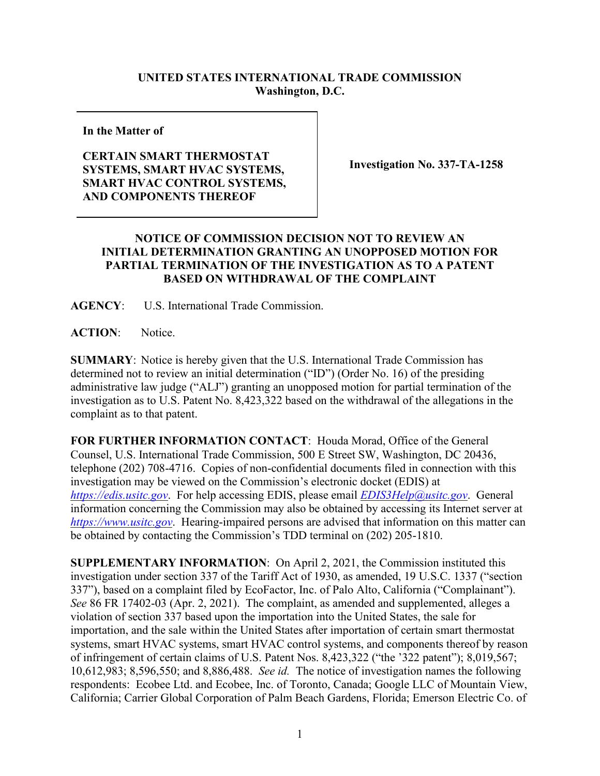## **UNITED STATES INTERNATIONAL TRADE COMMISSION Washington, D.C.**

**In the Matter of**

## **CERTAIN SMART THERMOSTAT SYSTEMS, SMART HVAC SYSTEMS, SMART HVAC CONTROL SYSTEMS, AND COMPONENTS THEREOF**

**Investigation No. 337-TA-1258**

## **NOTICE OF COMMISSION DECISION NOT TO REVIEW AN INITIAL DETERMINATION GRANTING AN UNOPPOSED MOTION FOR PARTIAL TERMINATION OF THE INVESTIGATION AS TO A PATENT BASED ON WITHDRAWAL OF THE COMPLAINT**

**AGENCY**: U.S. International Trade Commission.

**ACTION**: Notice.

**SUMMARY**: Notice is hereby given that the U.S. International Trade Commission has determined not to review an initial determination ("ID") (Order No. 16) of the presiding administrative law judge ("ALJ") granting an unopposed motion for partial termination of the investigation as to U.S. Patent No. 8,423,322 based on the withdrawal of the allegations in the complaint as to that patent.

**FOR FURTHER INFORMATION CONTACT**: Houda Morad, Office of the General Counsel, U.S. International Trade Commission, 500 E Street SW, Washington, DC 20436, telephone (202) 708-4716. Copies of non-confidential documents filed in connection with this investigation may be viewed on the Commission's electronic docket (EDIS) at *[https://edis.usitc.gov](https://edis.usitc.gov/)*. For help accessing EDIS, please email *[EDIS3Help@usitc.gov](mailto:EDIS3Help@usitc.gov)*. General information concerning the Commission may also be obtained by accessing its Internet server at *[https://www.usitc.gov](https://www.usitc.gov/)*. Hearing-impaired persons are advised that information on this matter can be obtained by contacting the Commission's TDD terminal on (202) 205-1810.

**SUPPLEMENTARY INFORMATION**: On April 2, 2021, the Commission instituted this investigation under section 337 of the Tariff Act of 1930, as amended, 19 U.S.C. 1337 ("section 337"), based on a complaint filed by EcoFactor, Inc. of Palo Alto, California ("Complainant"). *See* 86 FR 17402-03 (Apr. 2, 2021). The complaint, as amended and supplemented, alleges a violation of section 337 based upon the importation into the United States, the sale for importation, and the sale within the United States after importation of certain smart thermostat systems, smart HVAC systems, smart HVAC control systems, and components thereof by reason of infringement of certain claims of U.S. Patent Nos. 8,423,322 ("the '322 patent"); 8,019,567; 10,612,983; 8,596,550; and 8,886,488. *See id.* The notice of investigation names the following respondents: Ecobee Ltd. and Ecobee, Inc. of Toronto, Canada; Google LLC of Mountain View, California; Carrier Global Corporation of Palm Beach Gardens, Florida; Emerson Electric Co. of